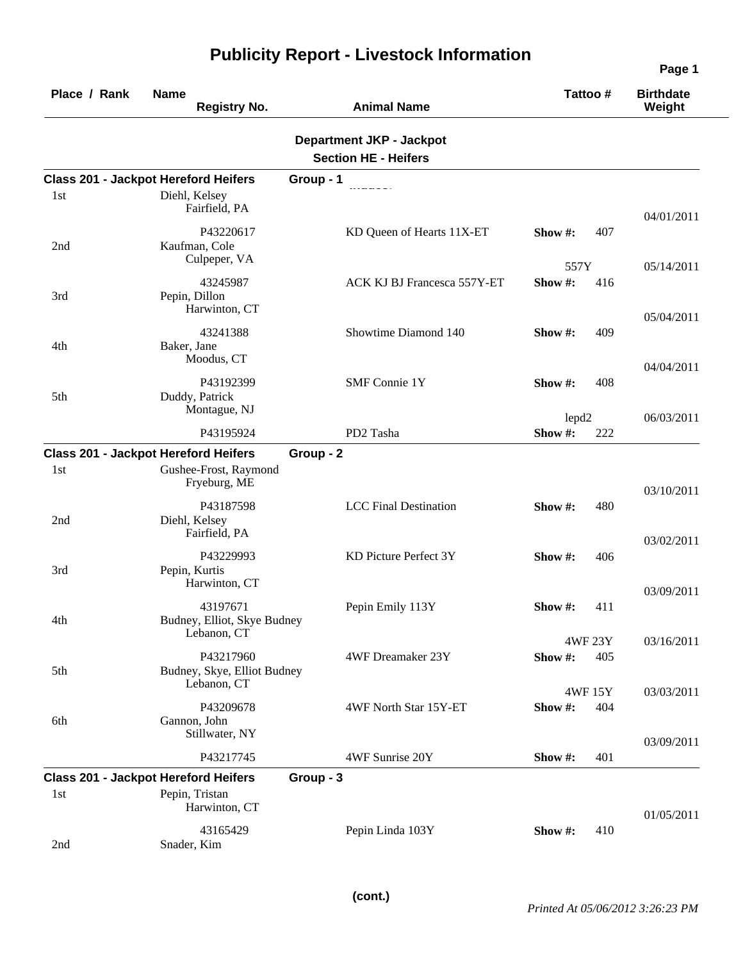| Place / Rank | <b>Name</b><br><b>Registry No.</b>                                                   | <b>Animal Name</b>                                             | Tattoo#                  | <b>Birthdate</b><br>Weight |
|--------------|--------------------------------------------------------------------------------------|----------------------------------------------------------------|--------------------------|----------------------------|
|              |                                                                                      | <b>Department JKP - Jackpot</b><br><b>Section HE - Heifers</b> |                          |                            |
|              | <b>Class 201 - Jackpot Hereford Heifers</b>                                          | Group - 1                                                      |                          |                            |
| 1st          | Diehl, Kelsey<br>Fairfield, PA                                                       |                                                                |                          | 04/01/2011                 |
| 2nd          | P43220617<br>Kaufman, Cole<br>Culpeper, VA                                           | KD Queen of Hearts 11X-ET                                      | Show#:<br>407            |                            |
| 3rd          | 43245987<br>Pepin, Dillon<br>Harwinton, CT                                           | ACK KJ BJ Francesca 557Y-ET                                    | 557Y<br>Show#:<br>416    | 05/14/2011                 |
| 4th          | 43241388<br>Baker, Jane<br>Moodus, CT                                                | Showtime Diamond 140                                           | Show #:<br>409           | 05/04/2011                 |
| 5th          | P43192399<br>Duddy, Patrick<br>Montague, NJ                                          | <b>SMF Connie 1Y</b>                                           | 408<br>Show #:           | 04/04/2011                 |
|              |                                                                                      |                                                                | lepd <sub>2</sub>        | 06/03/2011                 |
|              | P43195924                                                                            | PD2 Tasha                                                      | Show#:<br>222            |                            |
| 1st          | <b>Class 201 - Jackpot Hereford Heifers</b><br>Gushee-Frost, Raymond<br>Fryeburg, ME | Group - 2                                                      |                          | 03/10/2011                 |
| 2nd          | P43187598<br>Diehl, Kelsey<br>Fairfield, PA                                          | <b>LCC</b> Final Destination                                   | Show #:<br>480           |                            |
| 3rd          | P43229993<br>Pepin, Kurtis<br>Harwinton, CT                                          | KD Picture Perfect 3Y                                          | Show $\#$ :<br>406       | 03/02/2011                 |
| 4th          | 43197671<br>Budney, Elliot, Skye Budney<br>Lebanon, CT                               | Pepin Emily 113Y                                               | Show#:<br>411            | 03/09/2011                 |
| 5th          | P43217960<br>Budney, Skye, Elliot Budney<br>Lebanon, CT                              | 4WF Dreamaker 23Y                                              | 4WF 23Y<br>Show#:<br>405 | 03/16/2011                 |
| 6th          | P43209678<br>Gannon, John<br>Stillwater, NY                                          | 4WF North Star 15Y-ET                                          | 4WF 15Y<br>Show#:<br>404 | 03/03/2011                 |
|              | P43217745                                                                            | 4WF Sunrise 20Y                                                | 401<br>Show #:           | 03/09/2011                 |
|              | <b>Class 201 - Jackpot Hereford Heifers</b>                                          | Group - 3                                                      |                          |                            |
| 1st          | Pepin, Tristan<br>Harwinton, CT                                                      |                                                                |                          | 01/05/2011                 |
| 2nd          | 43165429<br>Snader, Kim                                                              | Pepin Linda 103Y                                               | Show $#$ :<br>410        |                            |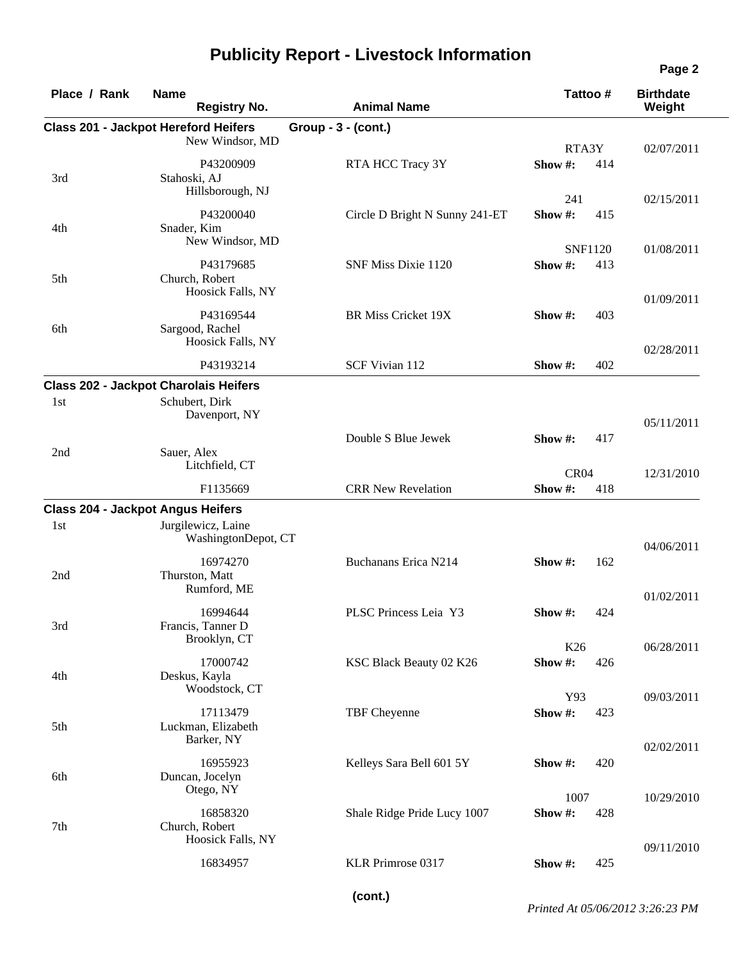| Place / Rank | <b>Name</b><br><b>Registry No.</b>                             | <b>Animal Name</b>             | Tattoo#                           | <b>Birthdate</b><br>Weight |
|--------------|----------------------------------------------------------------|--------------------------------|-----------------------------------|----------------------------|
|              | <b>Class 201 - Jackpot Hereford Heifers</b><br>New Windsor, MD | Group - 3 - (cont.)            |                                   |                            |
| 3rd          | P43200909<br>Stahoski, AJ<br>Hillsborough, NJ                  | RTA HCC Tracy 3Y               | RTA3Y<br>Show#:<br>414            | 02/07/2011                 |
| 4th          | P43200040<br>Snader, Kim                                       | Circle D Bright N Sunny 241-ET | 241<br>Show#:<br>415              | 02/15/2011                 |
|              | New Windsor, MD<br>P43179685                                   | SNF Miss Dixie 1120            | <b>SNF1120</b><br>Show#:<br>413   | 01/08/2011                 |
| 5th          | Church, Robert<br>Hoosick Falls, NY                            |                                |                                   | 01/09/2011                 |
| 6th          | P43169544<br>Sargood, Rachel<br>Hoosick Falls, NY              | <b>BR Miss Cricket 19X</b>     | 403<br>Show #:                    | 02/28/2011                 |
|              | P43193214                                                      | SCF Vivian 112                 | 402<br>Show $#$ :                 |                            |
|              | <b>Class 202 - Jackpot Charolais Heifers</b>                   |                                |                                   |                            |
| 1st          | Schubert, Dirk<br>Davenport, NY                                |                                |                                   | 05/11/2011                 |
| 2nd          | Sauer, Alex<br>Litchfield, CT                                  | Double S Blue Jewek            | Show $\#$ :<br>417                |                            |
|              | F1135669                                                       | <b>CRR New Revelation</b>      | CR <sub>04</sub><br>Show#:<br>418 | 12/31/2010                 |
|              | <b>Class 204 - Jackpot Angus Heifers</b>                       |                                |                                   |                            |
| 1st          | Jurgilewicz, Laine<br>WashingtonDepot, CT                      |                                |                                   | 04/06/2011                 |
| 2nd          | 16974270<br>Thurston, Matt<br>Rumford, ME                      | Buchanans Erica N214           | Show#:<br>162                     | 01/02/2011                 |
| 3rd          | 16994644<br>Francis, Tanner D<br>Brooklyn, CT                  | PLSC Princess Leia Y3          | Show $\#$ :<br>424                |                            |
| 4th          | 17000742<br>Deskus, Kayla                                      | KSC Black Beauty 02 K26        | K26<br>Show#:<br>426              | 06/28/2011                 |
| 5th          | Woodstock, CT<br>17113479<br>Luckman, Elizabeth                | TBF Cheyenne                   | Y93<br>Show#:<br>423              | 09/03/2011                 |
| 6th          | Barker, NY<br>16955923<br>Duncan, Jocelyn                      | Kelleys Sara Bell 601 5Y       | Show#:<br>420                     | 02/02/2011                 |
|              | Otego, NY<br>16858320                                          | Shale Ridge Pride Lucy 1007    | 1007<br>Show#:<br>428             | 10/29/2010                 |
| 7th          | Church, Robert<br>Hoosick Falls, NY                            |                                |                                   | 09/11/2010                 |
|              | 16834957                                                       | KLR Primrose 0317              | Show #:<br>425                    |                            |

**(cont.)**

*Printed At 05/06/2012 3:26:23 PM*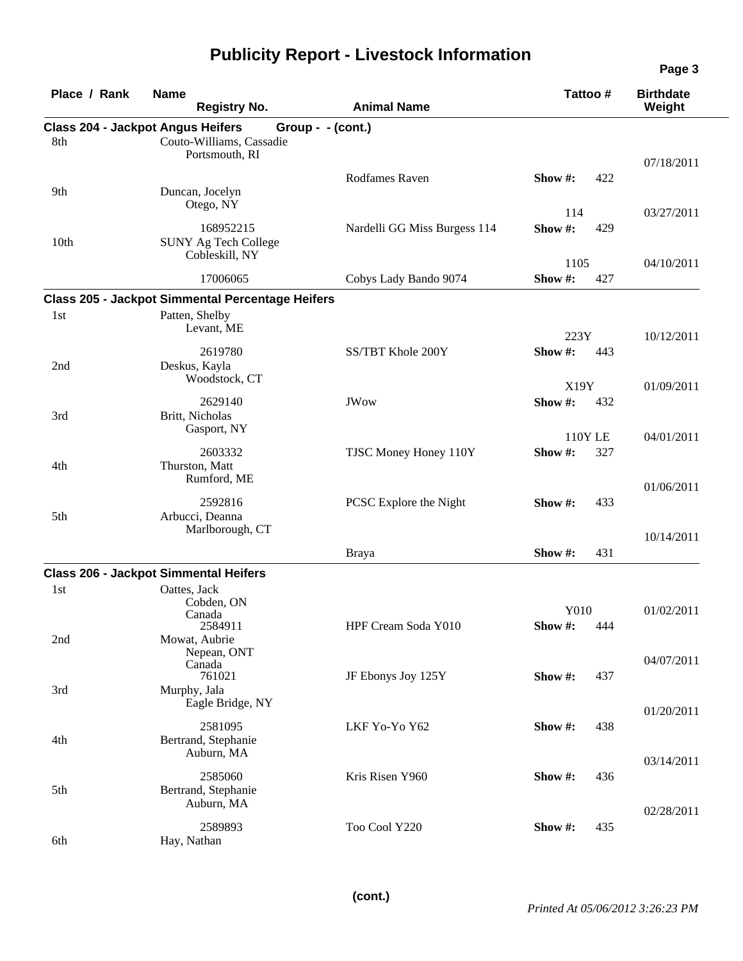|                                                 |                                                         |                              |                                 | Page 3                     |
|-------------------------------------------------|---------------------------------------------------------|------------------------------|---------------------------------|----------------------------|
| Place / Rank                                    | <b>Name</b><br><b>Registry No.</b>                      | <b>Animal Name</b>           | Tattoo #                        | <b>Birthdate</b><br>Weight |
| <b>Class 204 - Jackpot Angus Heifers</b><br>8th | Group - $-(\text{cont.})$<br>Couto-Williams, Cassadie   |                              |                                 |                            |
|                                                 | Portsmouth, RI                                          |                              |                                 | 07/18/2011                 |
| 9th                                             | Duncan, Jocelyn<br>Otego, NY                            | Rodfames Raven               | Show #:<br>422                  |                            |
|                                                 |                                                         |                              | 114                             | 03/27/2011                 |
| 10 <sub>th</sub>                                | 168952215<br>SUNY Ag Tech College<br>Cobleskill, NY     | Nardelli GG Miss Burgess 114 | Show#:<br>429                   |                            |
|                                                 | 17006065                                                | Cobys Lady Bando 9074        | 1105<br>Show#:<br>427           | 04/10/2011                 |
|                                                 | <b>Class 205 - Jackpot Simmental Percentage Heifers</b> |                              |                                 |                            |
| 1st                                             | Patten, Shelby                                          |                              |                                 |                            |
|                                                 | Levant, ME                                              |                              | 223Y                            | 10/12/2011                 |
| 2nd                                             | 2619780<br>Deskus, Kayla<br>Woodstock, CT               | SS/TBT Khole 200Y            | Show #:<br>443                  |                            |
|                                                 |                                                         |                              | X19Y                            | 01/09/2011                 |
| 3rd                                             | 2629140<br>Britt, Nicholas<br>Gasport, NY               | <b>JWow</b>                  | Show#:<br>432                   |                            |
|                                                 | 2603332                                                 |                              | <b>110Y LE</b><br>Show#:<br>327 | 04/01/2011                 |
| 4th                                             | Thurston, Matt<br>Rumford, ME                           | TJSC Money Honey 110Y        |                                 | 01/06/2011                 |
| 5th                                             | 2592816<br>Arbucci, Deanna<br>Marlborough, CT           | PCSC Explore the Night       | Show #:<br>433                  |                            |
|                                                 |                                                         | Braya                        | Show #:<br>431                  | 10/14/2011                 |
|                                                 | <b>Class 206 - Jackpot Simmental Heifers</b>            |                              |                                 |                            |
| 1st                                             | Oattes, Jack<br>Cobden, ON<br>Canada                    |                              | Y010                            | 01/02/2011                 |
| 2nd                                             | 2584911<br>Mowat, Aubrie<br>Nepean, ONT                 | HPF Cream Soda Y010          | Show#:<br>444                   |                            |
| 3rd                                             | Canada<br>761021<br>Murphy, Jala                        | JF Ebonys Joy 125Y           | 437<br>Show $#$ :               | 04/07/2011                 |
|                                                 | Eagle Bridge, NY                                        |                              |                                 | 01/20/2011                 |
| 4th                                             | 2581095<br>Bertrand, Stephanie<br>Auburn, MA            | LKF Yo-Yo Y62                | Show#:<br>438                   |                            |
| 5th                                             | 2585060<br>Bertrand, Stephanie<br>Auburn, MA            | Kris Risen Y960              | Show $#$ :<br>436               | 03/14/2011                 |
| 6th                                             | 2589893<br>Hay, Nathan                                  | Too Cool Y220                | 435<br>Show $#$ :               | 02/28/2011                 |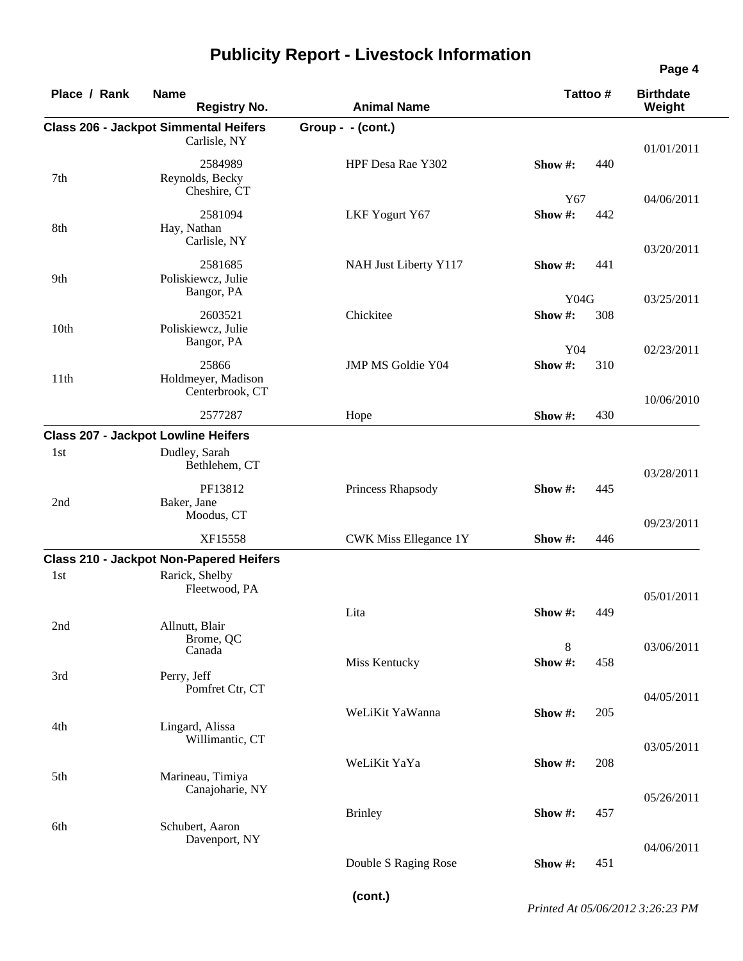| <b>Class 206 - Jackpot Simmental Heifers</b><br>Group - - (cont.)<br>Carlisle, NY |                                                                                                                                                                                                                                                                                                                                                                                                                                                                                                                                                                                                                     |                   |
|-----------------------------------------------------------------------------------|---------------------------------------------------------------------------------------------------------------------------------------------------------------------------------------------------------------------------------------------------------------------------------------------------------------------------------------------------------------------------------------------------------------------------------------------------------------------------------------------------------------------------------------------------------------------------------------------------------------------|-------------------|
|                                                                                   |                                                                                                                                                                                                                                                                                                                                                                                                                                                                                                                                                                                                                     | 01/01/2011        |
| HPF Desa Rae Y302                                                                 | Show #:                                                                                                                                                                                                                                                                                                                                                                                                                                                                                                                                                                                                             | 440               |
| LKF Yogurt Y67                                                                    | Y67<br>Show#:                                                                                                                                                                                                                                                                                                                                                                                                                                                                                                                                                                                                       | 04/06/2011<br>442 |
| NAH Just Liberty Y117                                                             | Show #:                                                                                                                                                                                                                                                                                                                                                                                                                                                                                                                                                                                                             | 03/20/2011<br>441 |
| Chickitee                                                                         | Y04G<br>Show#:                                                                                                                                                                                                                                                                                                                                                                                                                                                                                                                                                                                                      | 03/25/2011<br>308 |
| JMP MS Goldie Y04                                                                 | Y04<br>Show#:                                                                                                                                                                                                                                                                                                                                                                                                                                                                                                                                                                                                       | 02/23/2011<br>310 |
|                                                                                   |                                                                                                                                                                                                                                                                                                                                                                                                                                                                                                                                                                                                                     | 10/06/2010<br>430 |
|                                                                                   |                                                                                                                                                                                                                                                                                                                                                                                                                                                                                                                                                                                                                     |                   |
|                                                                                   |                                                                                                                                                                                                                                                                                                                                                                                                                                                                                                                                                                                                                     | 03/28/2011        |
| Princess Rhapsody                                                                 | Show #:                                                                                                                                                                                                                                                                                                                                                                                                                                                                                                                                                                                                             | 445               |
| CWK Miss Ellegance 1Y                                                             | Show #:                                                                                                                                                                                                                                                                                                                                                                                                                                                                                                                                                                                                             | 09/23/2011<br>446 |
|                                                                                   |                                                                                                                                                                                                                                                                                                                                                                                                                                                                                                                                                                                                                     |                   |
|                                                                                   |                                                                                                                                                                                                                                                                                                                                                                                                                                                                                                                                                                                                                     | 05/01/2011        |
| Lita                                                                              | Show $#$ :                                                                                                                                                                                                                                                                                                                                                                                                                                                                                                                                                                                                          | 449               |
|                                                                                   | 8<br>Show #:                                                                                                                                                                                                                                                                                                                                                                                                                                                                                                                                                                                                        | 03/06/2011<br>458 |
|                                                                                   |                                                                                                                                                                                                                                                                                                                                                                                                                                                                                                                                                                                                                     | 04/05/2011        |
| WeLiKit YaWanna                                                                   | Show #:                                                                                                                                                                                                                                                                                                                                                                                                                                                                                                                                                                                                             | 205<br>03/05/2011 |
| WeLiKit YaYa                                                                      | Show #:                                                                                                                                                                                                                                                                                                                                                                                                                                                                                                                                                                                                             | 208               |
| <b>Brinley</b>                                                                    | Show #:                                                                                                                                                                                                                                                                                                                                                                                                                                                                                                                                                                                                             | 05/26/2011<br>457 |
| Double S Raging Rose                                                              | Show #:                                                                                                                                                                                                                                                                                                                                                                                                                                                                                                                                                                                                             | 04/06/2011<br>451 |
|                                                                                   | 2584989<br>Reynolds, Becky<br>Cheshire, CT<br>2581094<br>Carlisle, NY<br>2581685<br>Poliskiewcz, Julie<br>Bangor, PA<br>2603521<br>Poliskiewcz, Julie<br>Bangor, PA<br>25866<br>Holdmeyer, Madison<br>Centerbrook, CT<br>2577287<br>Hope<br><b>Class 207 - Jackpot Lowline Heifers</b><br>Dudley, Sarah<br>Bethlehem, CT<br>PF13812<br>Moodus, CT<br>XF15558<br><b>Class 210 - Jackpot Non-Papered Heifers</b><br>Rarick, Shelby<br>Fleetwood, PA<br>Brome, QC<br>Miss Kentucky<br>Pomfret Ctr, CT<br>Lingard, Alissa<br>Willimantic, CT<br>Marineau, Timiya<br>Canajoharie, NY<br>Schubert, Aaron<br>Davenport, NY | Show #:           |

**(cont.)**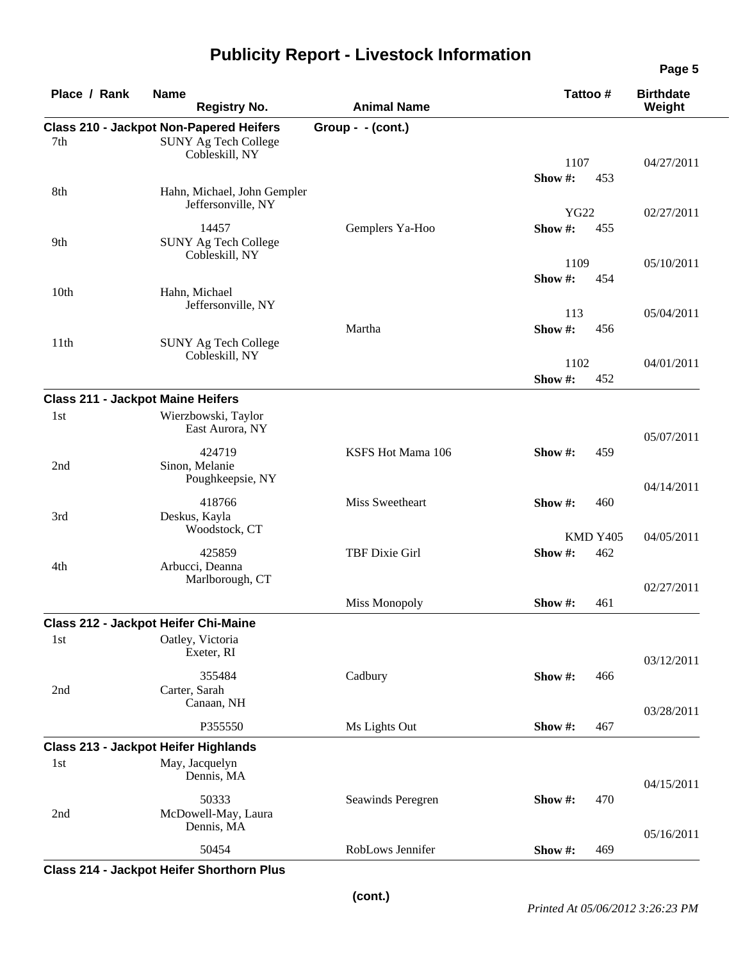| Place / Rank                             | <b>Name</b><br><b>Registry No.</b>                                            | <b>Animal Name</b> | Tattoo#        | <b>Birthdate</b><br>Weight |
|------------------------------------------|-------------------------------------------------------------------------------|--------------------|----------------|----------------------------|
| 7th                                      | <b>Class 210 - Jackpot Non-Papered Heifers</b><br><b>SUNY Ag Tech College</b> | Group - - (cont.)  |                |                            |
|                                          | Cobleskill, NY                                                                |                    | 1107           | 04/27/2011                 |
|                                          |                                                                               |                    | Show #:<br>453 |                            |
| 8th                                      | Hahn, Michael, John Gempler<br>Jeffersonville, NY                             |                    | <b>YG22</b>    | 02/27/2011                 |
| 9th                                      | 14457<br><b>SUNY Ag Tech College</b>                                          | Gemplers Ya-Hoo    | Show#:<br>455  |                            |
|                                          | Cobleskill, NY                                                                |                    | 1109           | 05/10/2011                 |
| 10 <sub>th</sub>                         | Hahn, Michael<br>Jeffersonville, NY                                           |                    | Show#:<br>454  |                            |
|                                          |                                                                               |                    | 113            | 05/04/2011                 |
| 11th                                     | <b>SUNY Ag Tech College</b><br>Cobleskill, NY                                 | Martha             | Show#:<br>456  |                            |
|                                          |                                                                               |                    | 1102           | 04/01/2011                 |
|                                          |                                                                               |                    | Show #:<br>452 |                            |
| <b>Class 211 - Jackpot Maine Heifers</b> |                                                                               |                    |                |                            |
| 1st                                      | Wierzbowski, Taylor<br>East Aurora, NY                                        |                    |                | 05/07/2011                 |
| 2nd                                      | 424719<br>Sinon, Melanie<br>Poughkeepsie, NY                                  | KSFS Hot Mama 106  | 459<br>Show #: |                            |
|                                          |                                                                               |                    |                | 04/14/2011                 |
| 3rd                                      | 418766<br>Deskus, Kayla<br>Woodstock, CT                                      | Miss Sweetheart    | Show #:        | 460                        |
|                                          |                                                                               |                    | KMD Y405       | 04/05/2011                 |
| 4th                                      | 425859<br>Arbucci, Deanna<br>Marlborough, CT                                  | TBF Dixie Girl     | Show#:<br>462  |                            |
|                                          |                                                                               |                    |                | 02/27/2011                 |
|                                          |                                                                               | Miss Monopoly      | Show #:<br>461 |                            |
|                                          | Class 212 - Jackpot Heifer Chi-Maine                                          |                    |                |                            |
| 1st                                      | Oatley, Victoria<br>Exeter, RI                                                |                    |                | 03/12/2011                 |
| 2nd                                      | 355484<br>Carter, Sarah                                                       | Cadbury            | Show #:<br>466 |                            |
|                                          | Canaan, NH<br>P355550                                                         | Ms Lights Out      | Show #:<br>467 | 03/28/2011                 |
|                                          |                                                                               |                    |                |                            |
| 1st                                      | <b>Class 213 - Jackpot Heifer Highlands</b><br>May, Jacquelyn<br>Dennis, MA   |                    |                |                            |
| 2nd                                      | 50333<br>McDowell-May, Laura                                                  | Seawinds Peregren  | Show #:<br>470 | 04/15/2011                 |
|                                          | Dennis, MA<br>50454                                                           | RobLows Jennifer   | Show #:<br>469 | 05/16/2011                 |
|                                          |                                                                               |                    |                |                            |

**Class 214 - Jackpot Heifer Shorthorn Plus**